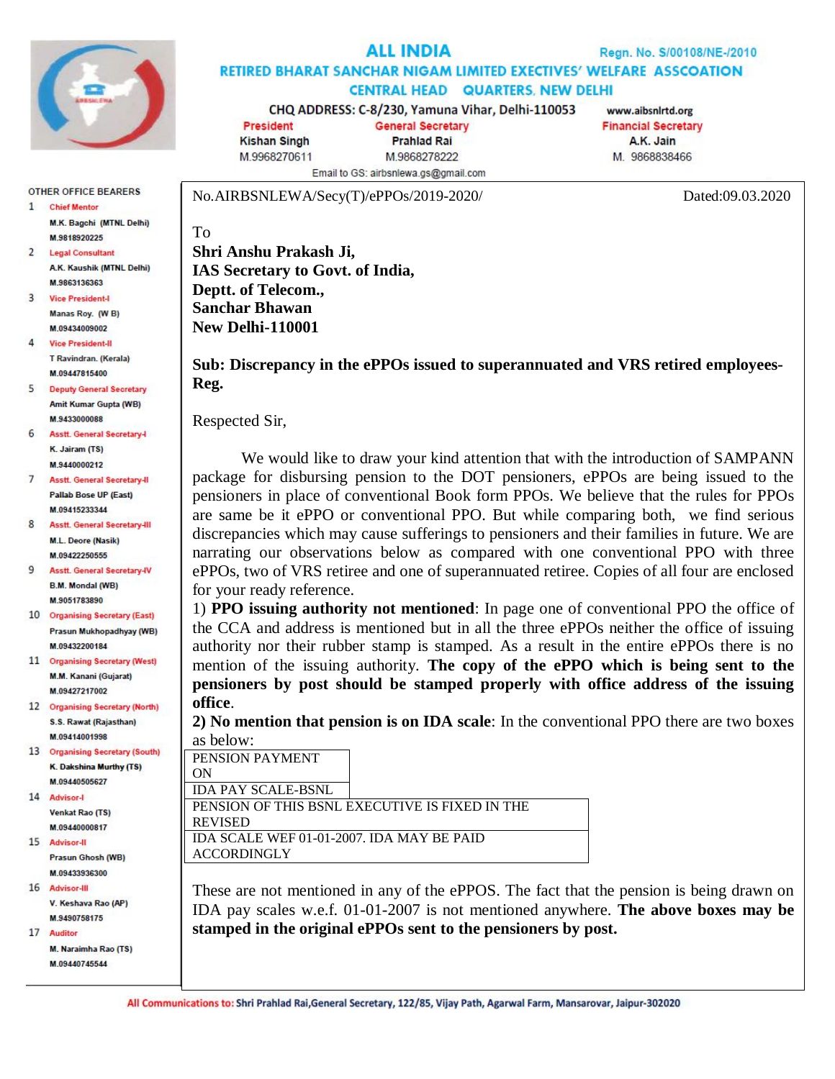

## ALL INDIA

Regn. No. S/00108/NE-/2010

RETIRED BHARAT SANCHAR NIGAM LIMITED EXECTIVES' WELFARE ASSCOATION **CENTRAL HEAD QUARTERS, NEW DELHI** 

CHQ ADDRESS: C-8/230, Yamuna Vihar, Delhi-110053 **President General Secretary** 

**Kishan Singh** M.9968270611

**Prahlad Rai** M.9868278222 Email to GS: airbsnlewa.gs@gmail.com

www.aibsnlrtd.org **Financial Secretary** A.K. Jain M. 9868838466

No.AIRBSNLEWA/Secy(T)/ePPOs/2019-2020/ Dated:09.03.2020

**OTHER OFFICE BEARERS** 1 Chief Mentor M.K. Bagchi (MTNL Delhi) M.9818920225

- $\overline{2}$ **Legal Consultant** A.K. Kaushik (MTNL Delhi) M 9863136363
- 3 Vice President-Manas Roy. (WB) M 09434009002
- 4 Vice President-II T Ravindran, (Kerala) **M.09447815400**
- $5^{\circ}$ **Deputy General Secretary Amit Kumar Gupta (WB)** M 9433000088
- 6 Asstt. General Secretary-I K. Jairam (TS) M 9440000212
- $\overline{7}$ **Asstt. General Secretary-II** Pallab Bose UP (Fast) M.09415233344
- 8 Asstt. General Secretary-III M.L. Deore (Nasik) M.09422250555
- 9 **Asstt. General Secretary-IV B.M. Mondal (WB)** M.9051783890
- 10 Organising Secretary (East) Prasun Mukhopadhyay (WB) M 09432200184
- 11 Organising Secretary (West) M.M. Kanani (Gujarat) M.09427217002
- 12 Organising Secretary (North) S.S. Rawat (Rajasthan) M.09414001998

13 Organising Secretary (South) K. Dakshina Murthy (TS) M.09440505627

- 14 Advisor-Venkat Rao (TS) M.09440000817
- 15 Advisor-II **Prasun Ghosh (WB)** M 09433936300
- 16 Advisor-III V. Keshava Rao (AP) M.9490758175
- 17 Auditor M. Naraimha Rao (TS) M.09440745544

**Shri Anshu Prakash Ji, IAS Secretary to Govt. of India, Deptt. of Telecom., Sanchar Bhawan New Delhi-110001** 

**Sub: Discrepancy in the ePPOs issued to superannuated and VRS retired employees-Reg.**

Respected Sir,

To

We would like to draw your kind attention that with the introduction of SAMPANN package for disbursing pension to the DOT pensioners, ePPOs are being issued to the pensioners in place of conventional Book form PPOs. We believe that the rules for PPOs are same be it ePPO or conventional PPO. But while comparing both, we find serious discrepancies which may cause sufferings to pensioners and their families in future. We are narrating our observations below as compared with one conventional PPO with three ePPOs, two of VRS retiree and one of superannuated retiree. Copies of all four are enclosed for your ready reference.

1) **PPO issuing authority not mentioned**: In page one of conventional PPO the office of the CCA and address is mentioned but in all the three ePPOs neither the office of issuing authority nor their rubber stamp is stamped. As a result in the entire ePPOs there is no mention of the issuing authority. **The copy of the ePPO which is being sent to the pensioners by post should be stamped properly with office address of the issuing office**.

**2) No mention that pension is on IDA scale**: In the conventional PPO there are two boxes as below:

PENSION PAYMENT ON IDA PAY SCALE-BSNL PENSION OF THIS BSNL EXECUTIVE IS FIXED IN THE REVISED IDA SCALE WEF 01-01-2007. IDA MAY BE PAID **ACCORDINGLY** 

These are not mentioned in any of the ePPOS. The fact that the pension is being drawn on IDA pay scales w.e.f. 01-01-2007 is not mentioned anywhere. **The above boxes may be stamped in the original ePPOs sent to the pensioners by post.**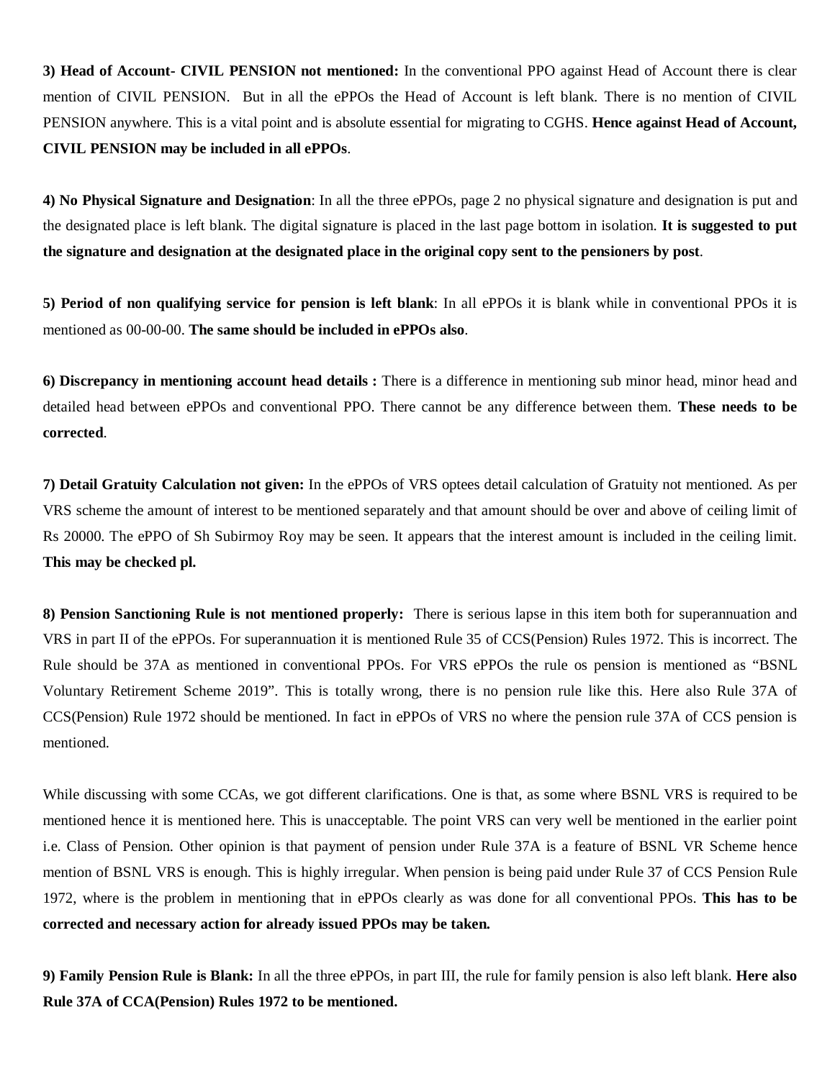**3) Head of Account- CIVIL PENSION not mentioned:** In the conventional PPO against Head of Account there is clear mention of CIVIL PENSION. But in all the ePPOs the Head of Account is left blank. There is no mention of CIVIL PENSION anywhere. This is a vital point and is absolute essential for migrating to CGHS. **Hence against Head of Account, CIVIL PENSION may be included in all ePPOs**.

**4) No Physical Signature and Designation**: In all the three ePPOs, page 2 no physical signature and designation is put and the designated place is left blank. The digital signature is placed in the last page bottom in isolation. **It is suggested to put the signature and designation at the designated place in the original copy sent to the pensioners by post**.

**5) Period of non qualifying service for pension is left blank**: In all ePPOs it is blank while in conventional PPOs it is mentioned as 00-00-00. **The same should be included in ePPOs also**.

**6) Discrepancy in mentioning account head details :** There is a difference in mentioning sub minor head, minor head and detailed head between ePPOs and conventional PPO. There cannot be any difference between them. **These needs to be corrected**.

**7) Detail Gratuity Calculation not given:** In the ePPOs of VRS optees detail calculation of Gratuity not mentioned. As per VRS scheme the amount of interest to be mentioned separately and that amount should be over and above of ceiling limit of Rs 20000. The ePPO of Sh Subirmoy Roy may be seen. It appears that the interest amount is included in the ceiling limit. **This may be checked pl.**

**8) Pension Sanctioning Rule is not mentioned properly:** There is serious lapse in this item both for superannuation and VRS in part II of the ePPOs. For superannuation it is mentioned Rule 35 of CCS(Pension) Rules 1972. This is incorrect. The Rule should be 37A as mentioned in conventional PPOs. For VRS ePPOs the rule os pension is mentioned as "BSNL Voluntary Retirement Scheme 2019". This is totally wrong, there is no pension rule like this. Here also Rule 37A of CCS(Pension) Rule 1972 should be mentioned. In fact in ePPOs of VRS no where the pension rule 37A of CCS pension is mentioned.

While discussing with some CCAs, we got different clarifications. One is that, as some where BSNL VRS is required to be mentioned hence it is mentioned here. This is unacceptable. The point VRS can very well be mentioned in the earlier point i.e. Class of Pension. Other opinion is that payment of pension under Rule 37A is a feature of BSNL VR Scheme hence mention of BSNL VRS is enough. This is highly irregular. When pension is being paid under Rule 37 of CCS Pension Rule 1972, where is the problem in mentioning that in ePPOs clearly as was done for all conventional PPOs. **This has to be corrected and necessary action for already issued PPOs may be taken.**

**9) Family Pension Rule is Blank:** In all the three ePPOs, in part III, the rule for family pension is also left blank. **Here also Rule 37A of CCA(Pension) Rules 1972 to be mentioned.**